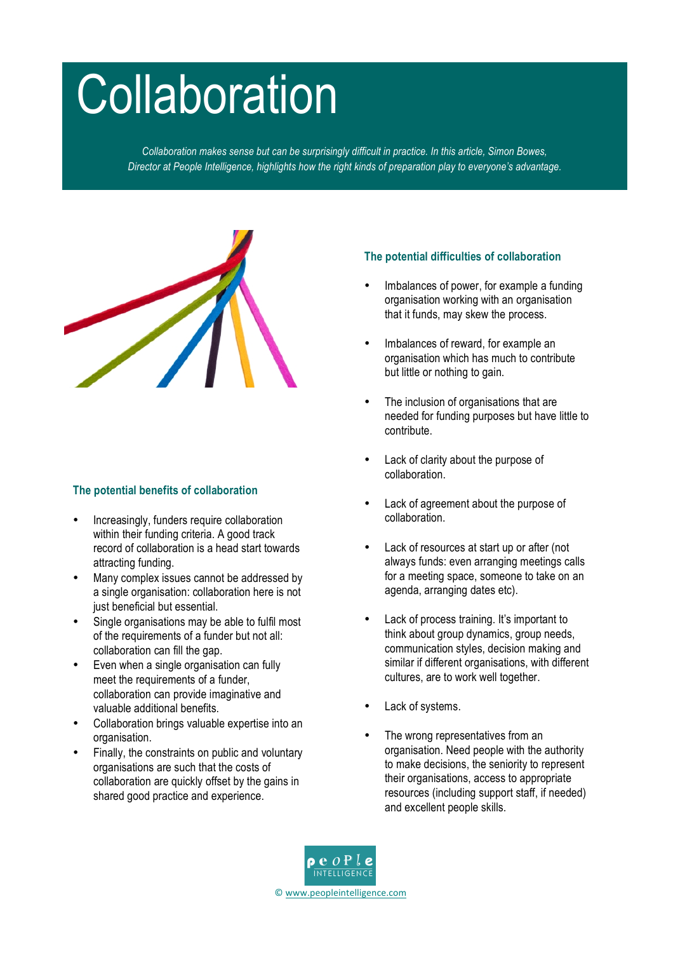# **Collaboration**

*Collaboration makes sense but can be surprisingly difficult in practice. In this article, Simon Bowes, Director at People Intelligence, highlights how the right kinds of preparation play to everyone's advantage.*



## **The potential benefits of collaboration**

- Increasingly, funders require collaboration within their funding criteria. A good track record of collaboration is a head start towards attracting funding.
- Many complex issues cannot be addressed by a single organisation: collaboration here is not just beneficial but essential.
- Single organisations may be able to fulfil most of the requirements of a funder but not all: collaboration can fill the gap.
- Even when a single organisation can fully meet the requirements of a funder, collaboration can provide imaginative and valuable additional benefits.
- Collaboration brings valuable expertise into an organisation.
- Finally, the constraints on public and voluntary organisations are such that the costs of collaboration are quickly offset by the gains in shared good practice and experience.

## **The potential difficulties of collaboration**

- Imbalances of power, for example a funding organisation working with an organisation that it funds, may skew the process.
- Imbalances of reward, for example an organisation which has much to contribute but little or nothing to gain.
- The inclusion of organisations that are needed for funding purposes but have little to contribute.
- Lack of clarity about the purpose of collaboration.
- Lack of agreement about the purpose of collaboration.
- Lack of resources at start up or after (not always funds: even arranging meetings calls for a meeting space, someone to take on an agenda, arranging dates etc).
- Lack of process training. It's important to think about group dynamics, group needs, communication styles, decision making and similar if different organisations, with different cultures, are to work well together.
- Lack of systems.
- The wrong representatives from an organisation. Need people with the authority to make decisions, the seniority to represent their organisations, access to appropriate resources (including support staff, if needed) and excellent people skills.